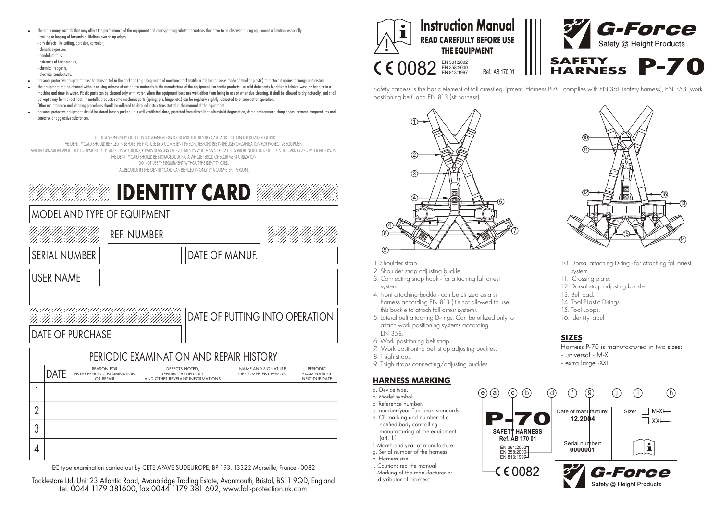! there are many hazards that may affect the performance of the equipment and corresponding safety precautions that have to be observed during equipment utilization, especially: - trailing or looping of lanyards or lifelines over sharp edges,

- any defects like cutting, abrasion, corrosion, - climatic exposure, - pendulum falls - extremes of temperature, - chemical reagents

- electrical conductivity.

! personal protective equipment must be transported in the package (e.g.: bag made of moisture-proof textile or foil bag or cases made of steel or plastic) to protect it against damage or moisture.

the equipment can be cleaned without causing adverse effect on the materials in the manufacture of the equipment. For textile products use mild detergents for delicate fabrics, wash by hand or in a machine and rinse in water. Plastic parts can be cleaned only with water. When the equipment becomes wet, either from being in use or when due cleaning, it shall be allowed to dry naturally, and shall be kept away from direct heat. In metallic products some mechanic parts (spring, pin, hinge, etc.) can be regularly slightly lubricated to ensure better operation. Other maintenance and cleaning procedures should be adhered to detailed instructions stated in the manual of the equipment.

personal protective equipment should be stored loosely packed, in a well-ventilated place, protected from direct light, ultraviolet degradation, damp environment, sharp edges, extreme temperatures and corrosive or aggressive substances.

IT IS THE RESPONSIBILITY OF THE USER ORGANISATION TO PROVIDE THE IDENTITY CARD AND TO FILL IN THE DETAILS REQUIRED.<br>The infritty capd should be filled in refore the first lise ry a commetent person pessonisible inthe liser ite deniif groud betiled in beture the risi use by a completni person, responsibe inite user urganization for productive equipment.<br>Any information about the equipment like periodic inspections, repars, reasons of equipmen THE IDENTITY CARD SHOULD BE STORAGED DURING A WHOLE PERIOD OF EQUIPMENT UTILIZATION. DO NOT USE THE EQUIPMENT WITHOUT THE IDENTITY CARD. ALL RECORDS IN THE IDENTITY CARD CAN BE FILLED IN ONLY BY A COMPETENT PERSON.



EC type examination carried out by CETE APAVE SUDEUROPE, BP 193, 13322 Marseille, France - 0082

tel. 0044 1179 381600, fax 0044 1179 381 602, www.fall-protection.uk.com Tacklestore Ltd, Unit 23 Atlantic Road, Avonbridge Trading Estate, Avonmouth, Bristol, BS11 9QD, England



Safety harness is the basic element of fall arrest equipment. Harness P-70 complies with EN 361 (safety harness), EN 358 (work positioning belt) and EN 813 (sit harness).



## 1. Shoulder strap.

- 2. Shoulder strap adjusting buckle.
- 3. Connecting snap hook for attaching fall arrest system.
- 4. Front attaching buckle can be utilized as a sit harness according EN 813 (it's not allowed to use this buckle to attach fall arrest system).
- 5. Lateral belt attaching D-rings. Can be utilized only to attach work positioning systems according EN 358.
- 6. Work positioning belt strap.
- 7. Work positioning belt strap adjusting buckles.
- 8. Thigh straps.
- 9. Thigh straps connecting/adjusting buckles.

## **HARNESS MARKING**

- a. Device type.
- b. Model symbol.
- c. Reference number. d. number/year European standards
- e. CE marking and number of a
- notified body controlling manufacturing of the equipment
- (art. 11) f. Month and year of manufacture.
- g. Serial number of the harness.
- h. Harness size.
- i. Caution: red the manual
- j. Marking of the manufacturer or distributor of harness



- 10. Dorsal attaching D-ring for attaching fall arrest system.
- 11. Crossing plate.
- 12. Dorsal strap adjusting buckle.
- 13. Belt pad.
- 14. Tool Plastic D-rings.
- 15. Tool Loops.
- 16. Identity label

# **SIZES**

- Harness P-70 is manufactured in two sizes:
- universal M-XL
- extra large -XXL